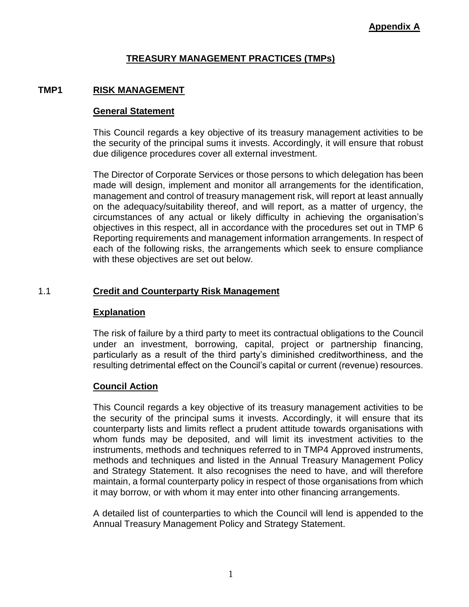# **TREASURY MANAGEMENT PRACTICES (TMPs)**

## **TMP1 RISK MANAGEMENT**

#### **General Statement**

This Council regards a key objective of its treasury management activities to be the security of the principal sums it invests. Accordingly, it will ensure that robust due diligence procedures cover all external investment.

The Director of Corporate Services or those persons to which delegation has been made will design, implement and monitor all arrangements for the identification, management and control of treasury management risk, will report at least annually on the adequacy/suitability thereof, and will report, as a matter of urgency, the circumstances of any actual or likely difficulty in achieving the organisation's objectives in this respect, all in accordance with the procedures set out in TMP 6 Reporting requirements and management information arrangements. In respect of each of the following risks, the arrangements which seek to ensure compliance with these objectives are set out below.

## 1.1 **Credit and Counterparty Risk Management**

#### **Explanation**

The risk of failure by a third party to meet its contractual obligations to the Council under an investment, borrowing, capital, project or partnership financing, particularly as a result of the third party's diminished creditworthiness, and the resulting detrimental effect on the Council's capital or current (revenue) resources.

#### **Council Action**

This Council regards a key objective of its treasury management activities to be the security of the principal sums it invests. Accordingly, it will ensure that its counterparty lists and limits reflect a prudent attitude towards organisations with whom funds may be deposited, and will limit its investment activities to the instruments, methods and techniques referred to in TMP4 Approved instruments, methods and techniques and listed in the Annual Treasury Management Policy and Strategy Statement. It also recognises the need to have, and will therefore maintain, a formal counterparty policy in respect of those organisations from which it may borrow, or with whom it may enter into other financing arrangements.

A detailed list of counterparties to which the Council will lend is appended to the Annual Treasury Management Policy and Strategy Statement.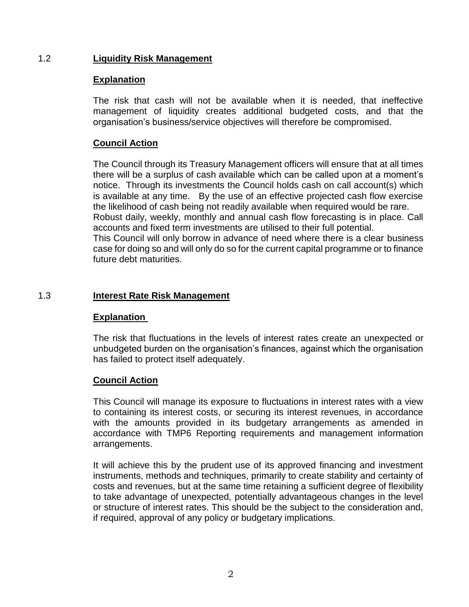## 1.2 **Liquidity Risk Management**

#### **Explanation**

The risk that cash will not be available when it is needed, that ineffective management of liquidity creates additional budgeted costs, and that the organisation's business/service objectives will therefore be compromised.

## **Council Action**

The Council through its Treasury Management officers will ensure that at all times there will be a surplus of cash available which can be called upon at a moment's notice. Through its investments the Council holds cash on call account(s) which is available at any time. By the use of an effective projected cash flow exercise the likelihood of cash being not readily available when required would be rare. Robust daily, weekly, monthly and annual cash flow forecasting is in place. Call accounts and fixed term investments are utilised to their full potential. This Council will only borrow in advance of need where there is a clear business case for doing so and will only do so for the current capital programme or to finance future debt maturities.

#### 1.3 **Interest Rate Risk Management**

#### **Explanation**

The risk that fluctuations in the levels of interest rates create an unexpected or unbudgeted burden on the organisation's finances, against which the organisation has failed to protect itself adequately.

#### **Council Action**

This Council will manage its exposure to fluctuations in interest rates with a view to containing its interest costs, or securing its interest revenues, in accordance with the amounts provided in its budgetary arrangements as amended in accordance with TMP6 Reporting requirements and management information arrangements.

It will achieve this by the prudent use of its approved financing and investment instruments, methods and techniques, primarily to create stability and certainty of costs and revenues, but at the same time retaining a sufficient degree of flexibility to take advantage of unexpected, potentially advantageous changes in the level or structure of interest rates. This should be the subject to the consideration and, if required, approval of any policy or budgetary implications.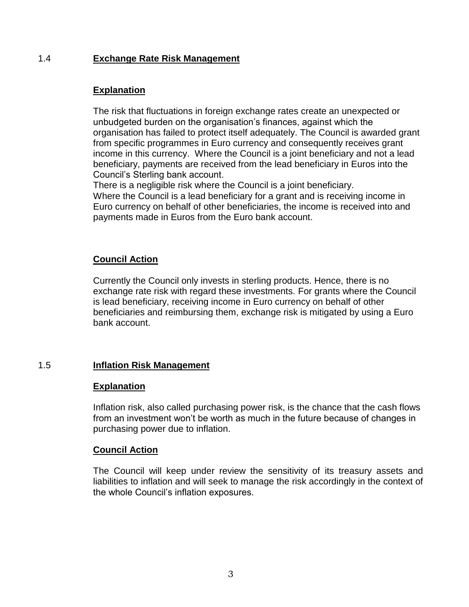# 1.4 **Exchange Rate Risk Management**

## **Explanation**

The risk that fluctuations in foreign exchange rates create an unexpected or unbudgeted burden on the organisation's finances, against which the organisation has failed to protect itself adequately. The Council is awarded grant from specific programmes in Euro currency and consequently receives grant income in this currency. Where the Council is a joint beneficiary and not a lead beneficiary, payments are received from the lead beneficiary in Euros into the Council's Sterling bank account.

There is a negligible risk where the Council is a joint beneficiary. Where the Council is a lead beneficiary for a grant and is receiving income in Euro currency on behalf of other beneficiaries, the income is received into and

payments made in Euros from the Euro bank account.

## **Council Action**

Currently the Council only invests in sterling products. Hence, there is no exchange rate risk with regard these investments. For grants where the Council is lead beneficiary, receiving income in Euro currency on behalf of other beneficiaries and reimbursing them, exchange risk is mitigated by using a Euro bank account.

## 1.5 **Inflation Risk Management**

## **Explanation**

Inflation risk, also called purchasing power risk, is the chance that the cash flows from an investment won't be worth as much in the future because of changes in purchasing power due to inflation.

## **Council Action**

The Council will keep under review the sensitivity of its treasury assets and liabilities to inflation and will seek to manage the risk accordingly in the context of the whole Council's inflation exposures.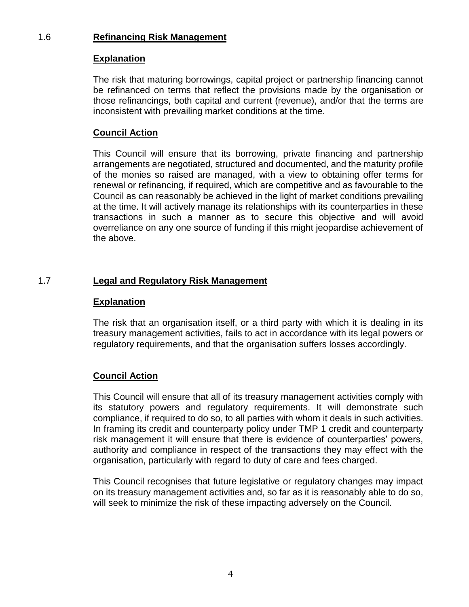# 1.6 **Refinancing Risk Management**

# **Explanation**

The risk that maturing borrowings, capital project or partnership financing cannot be refinanced on terms that reflect the provisions made by the organisation or those refinancings, both capital and current (revenue), and/or that the terms are inconsistent with prevailing market conditions at the time.

# **Council Action**

This Council will ensure that its borrowing, private financing and partnership arrangements are negotiated, structured and documented, and the maturity profile of the monies so raised are managed, with a view to obtaining offer terms for renewal or refinancing, if required, which are competitive and as favourable to the Council as can reasonably be achieved in the light of market conditions prevailing at the time. It will actively manage its relationships with its counterparties in these transactions in such a manner as to secure this objective and will avoid overreliance on any one source of funding if this might jeopardise achievement of the above.

## 1.7 **Legal and Regulatory Risk Management**

#### **Explanation**

The risk that an organisation itself, or a third party with which it is dealing in its treasury management activities, fails to act in accordance with its legal powers or regulatory requirements, and that the organisation suffers losses accordingly.

## **Council Action**

This Council will ensure that all of its treasury management activities comply with its statutory powers and regulatory requirements. It will demonstrate such compliance, if required to do so, to all parties with whom it deals in such activities. In framing its credit and counterparty policy under TMP 1 credit and counterparty risk management it will ensure that there is evidence of counterparties' powers, authority and compliance in respect of the transactions they may effect with the organisation, particularly with regard to duty of care and fees charged.

This Council recognises that future legislative or regulatory changes may impact on its treasury management activities and, so far as it is reasonably able to do so, will seek to minimize the risk of these impacting adversely on the Council.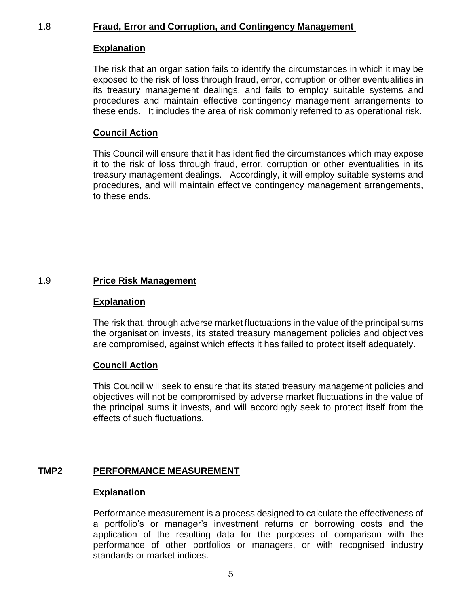## 1.8 **Fraud, Error and Corruption, and Contingency Management**

#### **Explanation**

The risk that an organisation fails to identify the circumstances in which it may be exposed to the risk of loss through fraud, error, corruption or other eventualities in its treasury management dealings, and fails to employ suitable systems and procedures and maintain effective contingency management arrangements to these ends. It includes the area of risk commonly referred to as operational risk.

#### **Council Action**

This Council will ensure that it has identified the circumstances which may expose it to the risk of loss through fraud, error, corruption or other eventualities in its treasury management dealings. Accordingly, it will employ suitable systems and procedures, and will maintain effective contingency management arrangements, to these ends.

#### 1.9 **Price Risk Management**

#### **Explanation**

The risk that, through adverse market fluctuations in the value of the principal sums the organisation invests, its stated treasury management policies and objectives are compromised, against which effects it has failed to protect itself adequately.

#### **Council Action**

This Council will seek to ensure that its stated treasury management policies and objectives will not be compromised by adverse market fluctuations in the value of the principal sums it invests, and will accordingly seek to protect itself from the effects of such fluctuations.

## **TMP2 PERFORMANCE MEASUREMENT**

#### **Explanation**

Performance measurement is a process designed to calculate the effectiveness of a portfolio's or manager's investment returns or borrowing costs and the application of the resulting data for the purposes of comparison with the performance of other portfolios or managers, or with recognised industry standards or market indices.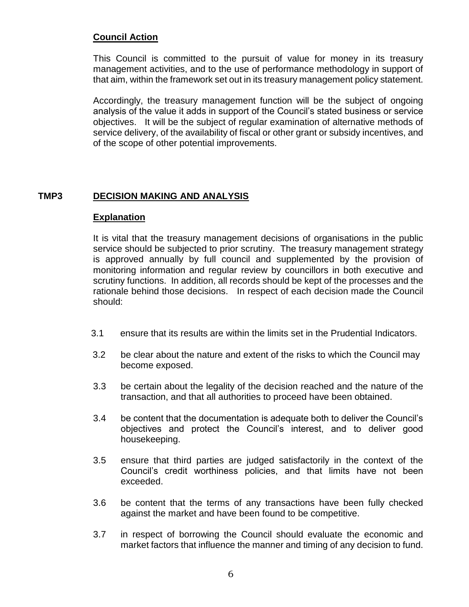This Council is committed to the pursuit of value for money in its treasury management activities, and to the use of performance methodology in support of that aim, within the framework set out in its treasury management policy statement.

Accordingly, the treasury management function will be the subject of ongoing analysis of the value it adds in support of the Council's stated business or service objectives. It will be the subject of regular examination of alternative methods of service delivery, of the availability of fiscal or other grant or subsidy incentives, and of the scope of other potential improvements.

## **TMP3 DECISION MAKING AND ANALYSIS**

#### **Explanation**

It is vital that the treasury management decisions of organisations in the public service should be subjected to prior scrutiny. The treasury management strategy is approved annually by full council and supplemented by the provision of monitoring information and regular review by councillors in both executive and scrutiny functions. In addition, all records should be kept of the processes and the rationale behind those decisions. In respect of each decision made the Council should:

- 3.1 ensure that its results are within the limits set in the Prudential Indicators.
- 3.2 be clear about the nature and extent of the risks to which the Council may become exposed.
- 3.3 be certain about the legality of the decision reached and the nature of the transaction, and that all authorities to proceed have been obtained.
- 3.4 be content that the documentation is adequate both to deliver the Council's objectives and protect the Council's interest, and to deliver good housekeeping.
- 3.5 ensure that third parties are judged satisfactorily in the context of the Council's credit worthiness policies, and that limits have not been exceeded.
- 3.6 be content that the terms of any transactions have been fully checked against the market and have been found to be competitive.
- 3.7 in respect of borrowing the Council should evaluate the economic and market factors that influence the manner and timing of any decision to fund.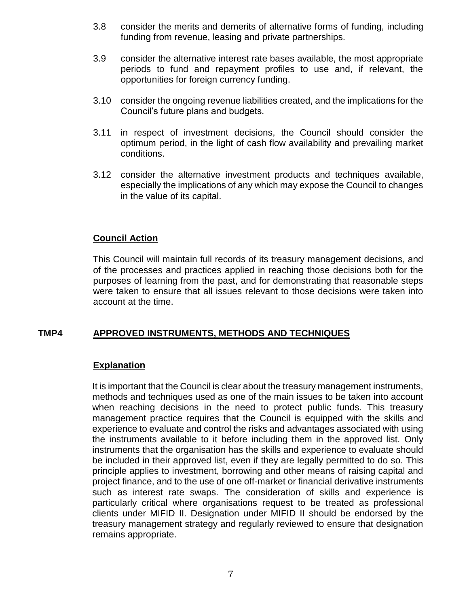- 3.8 consider the merits and demerits of alternative forms of funding, including funding from revenue, leasing and private partnerships.
- 3.9 consider the alternative interest rate bases available, the most appropriate periods to fund and repayment profiles to use and, if relevant, the opportunities for foreign currency funding.
- 3.10 consider the ongoing revenue liabilities created, and the implications for the Council's future plans and budgets.
- 3.11 in respect of investment decisions, the Council should consider the optimum period, in the light of cash flow availability and prevailing market conditions.
- 3.12 consider the alternative investment products and techniques available, especially the implications of any which may expose the Council to changes in the value of its capital.

This Council will maintain full records of its treasury management decisions, and of the processes and practices applied in reaching those decisions both for the purposes of learning from the past, and for demonstrating that reasonable steps were taken to ensure that all issues relevant to those decisions were taken into account at the time.

## **TMP4 APPROVED INSTRUMENTS, METHODS AND TECHNIQUES**

## **Explanation**

It is important that the Council is clear about the treasury management instruments, methods and techniques used as one of the main issues to be taken into account when reaching decisions in the need to protect public funds. This treasury management practice requires that the Council is equipped with the skills and experience to evaluate and control the risks and advantages associated with using the instruments available to it before including them in the approved list. Only instruments that the organisation has the skills and experience to evaluate should be included in their approved list, even if they are legally permitted to do so. This principle applies to investment, borrowing and other means of raising capital and project finance, and to the use of one off-market or financial derivative instruments such as interest rate swaps. The consideration of skills and experience is particularly critical where organisations request to be treated as professional clients under MIFID II. Designation under MIFID II should be endorsed by the treasury management strategy and regularly reviewed to ensure that designation remains appropriate.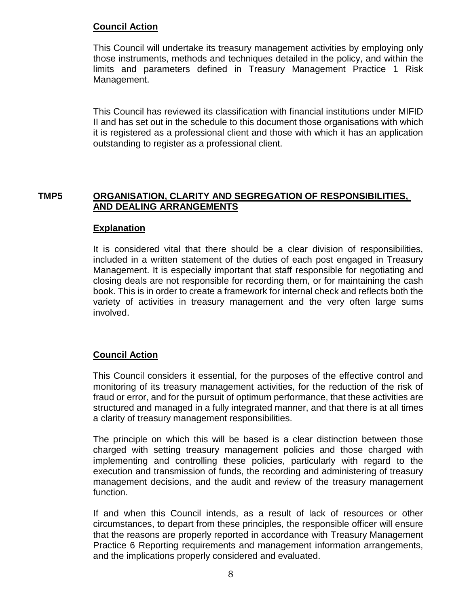This Council will undertake its treasury management activities by employing only those instruments, methods and techniques detailed in the policy, and within the limits and parameters defined in Treasury Management Practice 1 Risk Management.

This Council has reviewed its classification with financial institutions under MIFID II and has set out in the schedule to this document those organisations with which it is registered as a professional client and those with which it has an application outstanding to register as a professional client.

## **TMP5 ORGANISATION, CLARITY AND SEGREGATION OF RESPONSIBILITIES, AND DEALING ARRANGEMENTS**

#### **Explanation**

It is considered vital that there should be a clear division of responsibilities, included in a written statement of the duties of each post engaged in Treasury Management. It is especially important that staff responsible for negotiating and closing deals are not responsible for recording them, or for maintaining the cash book. This is in order to create a framework for internal check and reflects both the variety of activities in treasury management and the very often large sums involved.

## **Council Action**

This Council considers it essential, for the purposes of the effective control and monitoring of its treasury management activities, for the reduction of the risk of fraud or error, and for the pursuit of optimum performance, that these activities are structured and managed in a fully integrated manner, and that there is at all times a clarity of treasury management responsibilities.

The principle on which this will be based is a clear distinction between those charged with setting treasury management policies and those charged with implementing and controlling these policies, particularly with regard to the execution and transmission of funds, the recording and administering of treasury management decisions, and the audit and review of the treasury management function.

If and when this Council intends, as a result of lack of resources or other circumstances, to depart from these principles, the responsible officer will ensure that the reasons are properly reported in accordance with Treasury Management Practice 6 Reporting requirements and management information arrangements, and the implications properly considered and evaluated.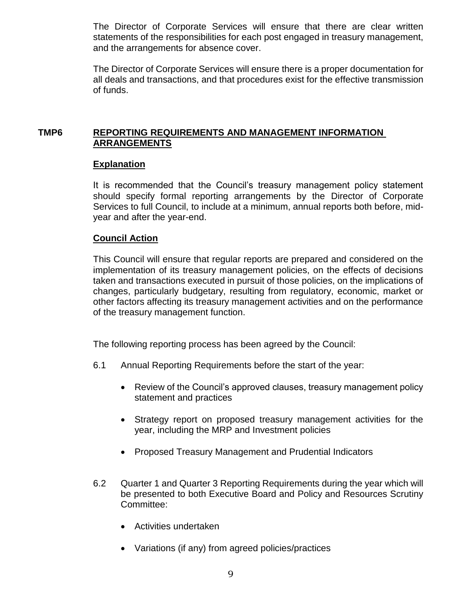The Director of Corporate Services will ensure that there are clear written statements of the responsibilities for each post engaged in treasury management, and the arrangements for absence cover.

The Director of Corporate Services will ensure there is a proper documentation for all deals and transactions, and that procedures exist for the effective transmission of funds.

# **TMP6 REPORTING REQUIREMENTS AND MANAGEMENT INFORMATION ARRANGEMENTS**

## **Explanation**

It is recommended that the Council's treasury management policy statement should specify formal reporting arrangements by the Director of Corporate Services to full Council, to include at a minimum, annual reports both before, midyear and after the year-end.

## **Council Action**

This Council will ensure that regular reports are prepared and considered on the implementation of its treasury management policies, on the effects of decisions taken and transactions executed in pursuit of those policies, on the implications of changes, particularly budgetary, resulting from regulatory, economic, market or other factors affecting its treasury management activities and on the performance of the treasury management function.

The following reporting process has been agreed by the Council:

- 6.1 Annual Reporting Requirements before the start of the year:
	- Review of the Council's approved clauses, treasury management policy statement and practices
	- Strategy report on proposed treasury management activities for the year, including the MRP and Investment policies
	- Proposed Treasury Management and Prudential Indicators
- 6.2 Quarter 1 and Quarter 3 Reporting Requirements during the year which will be presented to both Executive Board and Policy and Resources Scrutiny Committee:
	- Activities undertaken
	- Variations (if any) from agreed policies/practices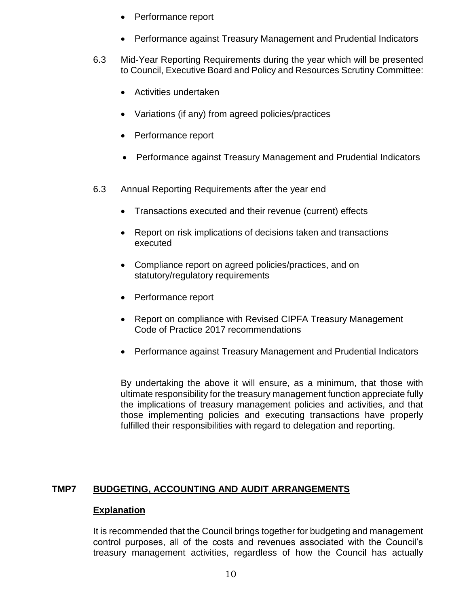- Performance report
- Performance against Treasury Management and Prudential Indicators
- 6.3 Mid-Year Reporting Requirements during the year which will be presented to Council, Executive Board and Policy and Resources Scrutiny Committee:
	- Activities undertaken
	- Variations (if any) from agreed policies/practices
	- Performance report
	- Performance against Treasury Management and Prudential Indicators
- 6.3 Annual Reporting Requirements after the year end
	- Transactions executed and their revenue (current) effects
	- Report on risk implications of decisions taken and transactions executed
	- Compliance report on agreed policies/practices, and on statutory/regulatory requirements
	- Performance report
	- Report on compliance with Revised CIPFA Treasury Management Code of Practice 2017 recommendations
	- Performance against Treasury Management and Prudential Indicators

By undertaking the above it will ensure, as a minimum, that those with ultimate responsibility for the treasury management function appreciate fully the implications of treasury management policies and activities, and that those implementing policies and executing transactions have properly fulfilled their responsibilities with regard to delegation and reporting.

# **TMP7 BUDGETING, ACCOUNTING AND AUDIT ARRANGEMENTS**

## **Explanation**

It is recommended that the Council brings together for budgeting and management control purposes, all of the costs and revenues associated with the Council's treasury management activities, regardless of how the Council has actually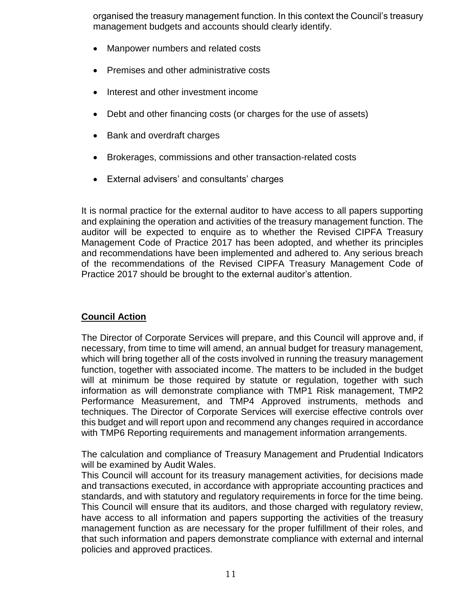organised the treasury management function. In this context the Council's treasury management budgets and accounts should clearly identify.

- Manpower numbers and related costs
- Premises and other administrative costs
- Interest and other investment income
- Debt and other financing costs (or charges for the use of assets)
- Bank and overdraft charges
- Brokerages, commissions and other transaction-related costs
- External advisers' and consultants' charges

It is normal practice for the external auditor to have access to all papers supporting and explaining the operation and activities of the treasury management function. The auditor will be expected to enquire as to whether the Revised CIPFA Treasury Management Code of Practice 2017 has been adopted, and whether its principles and recommendations have been implemented and adhered to. Any serious breach of the recommendations of the Revised CIPFA Treasury Management Code of Practice 2017 should be brought to the external auditor's attention.

#### **Council Action**

The Director of Corporate Services will prepare, and this Council will approve and, if necessary, from time to time will amend, an annual budget for treasury management, which will bring together all of the costs involved in running the treasury management function, together with associated income. The matters to be included in the budget will at minimum be those required by statute or regulation, together with such information as will demonstrate compliance with TMP1 Risk management, TMP2 Performance Measurement, and TMP4 Approved instruments, methods and techniques. The Director of Corporate Services will exercise effective controls over this budget and will report upon and recommend any changes required in accordance with TMP6 Reporting requirements and management information arrangements.

The calculation and compliance of Treasury Management and Prudential Indicators will be examined by Audit Wales.

This Council will account for its treasury management activities, for decisions made and transactions executed, in accordance with appropriate accounting practices and standards, and with statutory and regulatory requirements in force for the time being. This Council will ensure that its auditors, and those charged with regulatory review, have access to all information and papers supporting the activities of the treasury management function as are necessary for the proper fulfillment of their roles, and that such information and papers demonstrate compliance with external and internal policies and approved practices.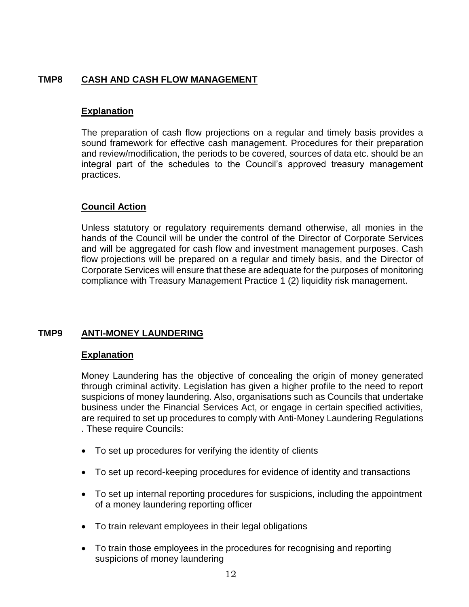# **TMP8 CASH AND CASH FLOW MANAGEMENT**

#### **Explanation**

The preparation of cash flow projections on a regular and timely basis provides a sound framework for effective cash management. Procedures for their preparation and review/modification, the periods to be covered, sources of data etc. should be an integral part of the schedules to the Council's approved treasury management practices.

#### **Council Action**

Unless statutory or regulatory requirements demand otherwise, all monies in the hands of the Council will be under the control of the Director of Corporate Services and will be aggregated for cash flow and investment management purposes. Cash flow projections will be prepared on a regular and timely basis, and the Director of Corporate Services will ensure that these are adequate for the purposes of monitoring compliance with Treasury Management Practice 1 (2) liquidity risk management.

## **TMP9 ANTI-MONEY LAUNDERING**

#### **Explanation**

Money Laundering has the objective of concealing the origin of money generated through criminal activity. Legislation has given a higher profile to the need to report suspicions of money laundering. Also, organisations such as Councils that undertake business under the Financial Services Act, or engage in certain specified activities, are required to set up procedures to comply with Anti-Money Laundering Regulations . These require Councils:

- To set up procedures for verifying the identity of clients
- To set up record-keeping procedures for evidence of identity and transactions
- To set up internal reporting procedures for suspicions, including the appointment of a money laundering reporting officer
- To train relevant employees in their legal obligations
- To train those employees in the procedures for recognising and reporting suspicions of money laundering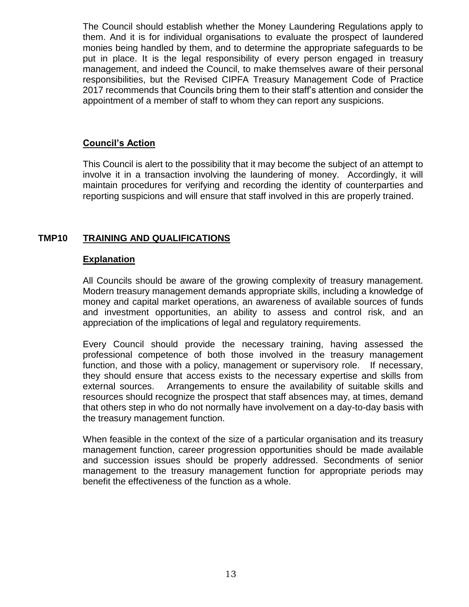The Council should establish whether the Money Laundering Regulations apply to them. And it is for individual organisations to evaluate the prospect of laundered monies being handled by them, and to determine the appropriate safeguards to be put in place. It is the legal responsibility of every person engaged in treasury management, and indeed the Council, to make themselves aware of their personal responsibilities, but the Revised CIPFA Treasury Management Code of Practice 2017 recommends that Councils bring them to their staff's attention and consider the appointment of a member of staff to whom they can report any suspicions.

## **Council's Action**

This Council is alert to the possibility that it may become the subject of an attempt to involve it in a transaction involving the laundering of money. Accordingly, it will maintain procedures for verifying and recording the identity of counterparties and reporting suspicions and will ensure that staff involved in this are properly trained.

# **TMP10 TRAINING AND QUALIFICATIONS**

## **Explanation**

All Councils should be aware of the growing complexity of treasury management. Modern treasury management demands appropriate skills, including a knowledge of money and capital market operations, an awareness of available sources of funds and investment opportunities, an ability to assess and control risk, and an appreciation of the implications of legal and regulatory requirements.

Every Council should provide the necessary training, having assessed the professional competence of both those involved in the treasury management function, and those with a policy, management or supervisory role. If necessary, they should ensure that access exists to the necessary expertise and skills from external sources. Arrangements to ensure the availability of suitable skills and resources should recognize the prospect that staff absences may, at times, demand that others step in who do not normally have involvement on a day-to-day basis with the treasury management function.

When feasible in the context of the size of a particular organisation and its treasury management function, career progression opportunities should be made available and succession issues should be properly addressed. Secondments of senior management to the treasury management function for appropriate periods may benefit the effectiveness of the function as a whole.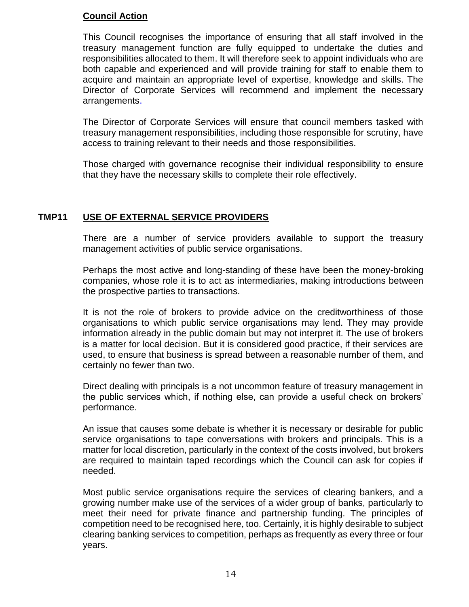This Council recognises the importance of ensuring that all staff involved in the treasury management function are fully equipped to undertake the duties and responsibilities allocated to them. It will therefore seek to appoint individuals who are both capable and experienced and will provide training for staff to enable them to acquire and maintain an appropriate level of expertise, knowledge and skills. The Director of Corporate Services will recommend and implement the necessary arrangements.

The Director of Corporate Services will ensure that council members tasked with treasury management responsibilities, including those responsible for scrutiny, have access to training relevant to their needs and those responsibilities.

Those charged with governance recognise their individual responsibility to ensure that they have the necessary skills to complete their role effectively.

# **TMP11 USE OF EXTERNAL SERVICE PROVIDERS**

There are a number of service providers available to support the treasury management activities of public service organisations.

Perhaps the most active and long-standing of these have been the money-broking companies, whose role it is to act as intermediaries, making introductions between the prospective parties to transactions.

It is not the role of brokers to provide advice on the creditworthiness of those organisations to which public service organisations may lend. They may provide information already in the public domain but may not interpret it. The use of brokers is a matter for local decision. But it is considered good practice, if their services are used, to ensure that business is spread between a reasonable number of them, and certainly no fewer than two.

Direct dealing with principals is a not uncommon feature of treasury management in the public services which, if nothing else, can provide a useful check on brokers' performance.

An issue that causes some debate is whether it is necessary or desirable for public service organisations to tape conversations with brokers and principals. This is a matter for local discretion, particularly in the context of the costs involved, but brokers are required to maintain taped recordings which the Council can ask for copies if needed.

Most public service organisations require the services of clearing bankers, and a growing number make use of the services of a wider group of banks, particularly to meet their need for private finance and partnership funding. The principles of competition need to be recognised here, too. Certainly, it is highly desirable to subject clearing banking services to competition, perhaps as frequently as every three or four years.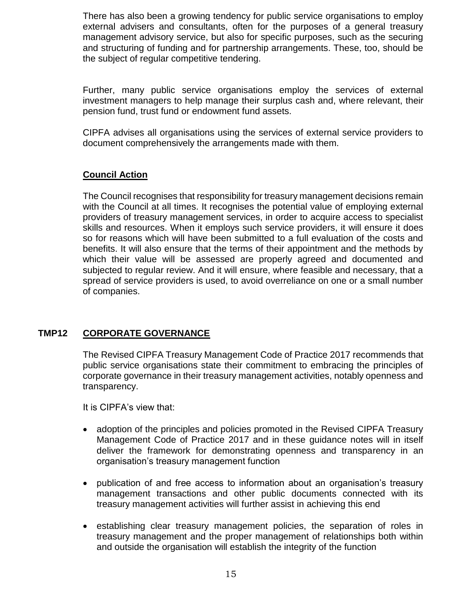There has also been a growing tendency for public service organisations to employ external advisers and consultants, often for the purposes of a general treasury management advisory service, but also for specific purposes, such as the securing and structuring of funding and for partnership arrangements. These, too, should be the subject of regular competitive tendering.

Further, many public service organisations employ the services of external investment managers to help manage their surplus cash and, where relevant, their pension fund, trust fund or endowment fund assets.

CIPFA advises all organisations using the services of external service providers to document comprehensively the arrangements made with them.

# **Council Action**

The Council recognises that responsibility for treasury management decisions remain with the Council at all times. It recognises the potential value of employing external providers of treasury management services, in order to acquire access to specialist skills and resources. When it employs such service providers, it will ensure it does so for reasons which will have been submitted to a full evaluation of the costs and benefits. It will also ensure that the terms of their appointment and the methods by which their value will be assessed are properly agreed and documented and subjected to regular review. And it will ensure, where feasible and necessary, that a spread of service providers is used, to avoid overreliance on one or a small number of companies.

## **TMP12 CORPORATE GOVERNANCE**

The Revised CIPFA Treasury Management Code of Practice 2017 recommends that public service organisations state their commitment to embracing the principles of corporate governance in their treasury management activities, notably openness and transparency.

It is CIPFA's view that:

- adoption of the principles and policies promoted in the Revised CIPFA Treasury Management Code of Practice 2017 and in these guidance notes will in itself deliver the framework for demonstrating openness and transparency in an organisation's treasury management function
- publication of and free access to information about an organisation's treasury management transactions and other public documents connected with its treasury management activities will further assist in achieving this end
- establishing clear treasury management policies, the separation of roles in treasury management and the proper management of relationships both within and outside the organisation will establish the integrity of the function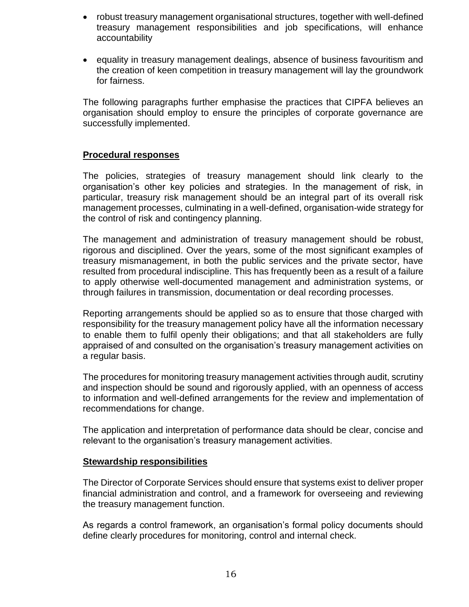- robust treasury management organisational structures, together with well-defined treasury management responsibilities and job specifications, will enhance accountability
- equality in treasury management dealings, absence of business favouritism and the creation of keen competition in treasury management will lay the groundwork for fairness.

The following paragraphs further emphasise the practices that CIPFA believes an organisation should employ to ensure the principles of corporate governance are successfully implemented.

# **Procedural responses**

The policies, strategies of treasury management should link clearly to the organisation's other key policies and strategies. In the management of risk, in particular, treasury risk management should be an integral part of its overall risk management processes, culminating in a well-defined, organisation-wide strategy for the control of risk and contingency planning.

The management and administration of treasury management should be robust, rigorous and disciplined. Over the years, some of the most significant examples of treasury mismanagement, in both the public services and the private sector, have resulted from procedural indiscipline. This has frequently been as a result of a failure to apply otherwise well-documented management and administration systems, or through failures in transmission, documentation or deal recording processes.

Reporting arrangements should be applied so as to ensure that those charged with responsibility for the treasury management policy have all the information necessary to enable them to fulfil openly their obligations; and that all stakeholders are fully appraised of and consulted on the organisation's treasury management activities on a regular basis.

The procedures for monitoring treasury management activities through audit, scrutiny and inspection should be sound and rigorously applied, with an openness of access to information and well-defined arrangements for the review and implementation of recommendations for change.

The application and interpretation of performance data should be clear, concise and relevant to the organisation's treasury management activities.

## **Stewardship responsibilities**

The Director of Corporate Services should ensure that systems exist to deliver proper financial administration and control, and a framework for overseeing and reviewing the treasury management function.

As regards a control framework, an organisation's formal policy documents should define clearly procedures for monitoring, control and internal check.